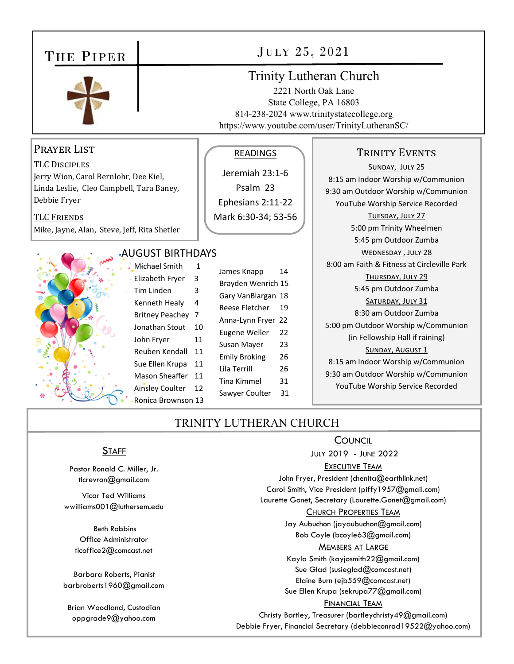## THE PIPER



## Prayer List

TLC DISCIPLES Jerry Wion, Carol Bernlohr, Dee Kiel, Linda Leslie, Cleo Campbell, Tara Baney, Debbie Fryer

TLC FRIENDS Mike, Jayne, Alan, Steve, Jeff, Rita Shetler



| Michael 9        |
|------------------|
| Elizabeth        |
| Tim Linde        |
| Kenneth          |
| <b>Britney P</b> |
| Jonathan         |
| John Frye        |
| Reuben k         |
| Sue Ellen        |
| Mason Sl         |
| Ainsley C        |
| Ronica Br        |

Smith 1 Fryer 3 en 3 Healy 4 eachey 7 Stout 10 John Fryer 11 Rendall 11 Krupa 11 heaffer 11 oulter 12 rownson 13

James Knapp 14 Brayden Wenrich 15 Gary VanBlargan 18 Reese Fletcher 19 Anna‐Lynn Fryer 22 Eugene Weller 22 Susan Mayer 23 Emily Broking 26 Lila Terrill 26 Tina Kimmel 31 Sawyer Coulter 31

READINGS

Jeremiah 23:1‐6 Psalm 23 Ephesians 2:11‐22 Mark 6:30‐34; 53‐56

## JULY 25, 2021

## Trinity Lutheran Church

2221 North Oak Lane State College, PA 16803 814-238-2024 www.trinitystatecollege.org https://www.youtube.com/user/TrinityLutheranSC/

### TRINITY EVENTS

SUNDAY, JULY 25 8:15 am Indoor Worship w/Communion 9:30 am Outdoor Worship w/Communion YouTube Worship Service Recorded TUESDAY, JULY 27 5:00 pm Trinity Wheelmen 5:45 pm Outdoor Zumba WEDNESDAY, JULY 28 8:00 am Faith & Fitness at Circleville Park THURSDAY, JULY 29 5:45 pm Outdoor Zumba SATURDAY, JULY 31 8:30 am Outdoor Zumba 5:00 pm Outdoor Worship w/Communion (in Fellowship Hall if raining) SUNDAY, AUGUST 1 8:15 am Indoor Worship w/Communion 9:30 am Outdoor Worship w/Communion YouTube Worship Service Recorded

## TRINITY LUTHERAN CHURCH

**COUNCIL** JULY 2019 - JUNE 2022

#### **EXECUTIVE TEAM**

John Fryer, President (chenita@earthlink.net) Carol Smith, Vice President (piffy1957@gmail.com) Laurette Gonet, Secretary (Laurette.Gonet@gmail.com)

#### CHURCH PROPERTIES TEAM

Jay Aubuchon (jayaubuchon@gmail.com) Bob Coyle (bcoyle63@gmail.com)

#### **MEMBERS AT LARGE**

Kayla Smith (kayjosmith22@gmail.com) Sue Glad (susieglad@comcast.net) Elaine Burn (ejb559@comcast.net) Sue Ellen Krupa (sekrupa77@gmail.com)

#### FINANCIAL TEAM

Christy Bartley, Treasurer (bartleychristy49@gmail.com) Debbie Fryer, Financial Secretary (debbieconrad19522@yahoo.com)

## **STAFF**

Pastor Ronald C. Miller, Jr. tlcrevron@gmail.com

Vicar Ted Williams wwilliams001@luthersem.edu

> Beth Robbins Office Administrator tlcoffice2@comcast.net

Barbara Roberts, Pianist barbroberts1960@gmail.com

Brian Woodland, Custodian oppgrade9@yahoo.com